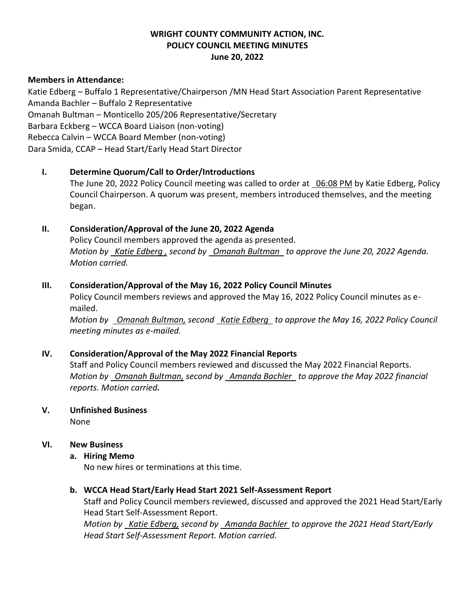# **WRIGHT COUNTY COMMUNITY ACTION, INC. POLICY COUNCIL MEETING MINUTES June 20, 2022**

### **Members in Attendance:**

Katie Edberg – Buffalo 1 Representative/Chairperson /MN Head Start Association Parent Representative Amanda Bachler – Buffalo 2 Representative Omanah Bultman – Monticello 205/206 Representative/Secretary Barbara Eckberg – WCCA Board Liaison (non-voting) Rebecca Calvin – WCCA Board Member (non-voting) Dara Smida, CCAP – Head Start/Early Head Start Director

# **I. Determine Quorum/Call to Order/Introductions**

The June 20, 2022 Policy Council meeting was called to order at 06:08 PM by Katie Edberg, Policy Council Chairperson. A quorum was present, members introduced themselves, and the meeting began.

# **II. Consideration/Approval of the June 20, 2022 Agenda**

Policy Council members approved the agenda as presented. *Motion by Katie Edberg , second by Omanah Bultman to approve the June 20, 2022 Agenda. Motion carried.*

## **III. Consideration/Approval of the May 16, 2022 Policy Council Minutes**

Policy Council members reviews and approved the May 16, 2022 Policy Council minutes as emailed.

*Motion by Omanah Bultman, second Katie Edberg to approve the May 16, 2022 Policy Council meeting minutes as e-mailed.*

### **IV. Consideration/Approval of the May 2022 Financial Reports**

Staff and Policy Council members reviewed and discussed the May 2022 Financial Reports. *Motion by Omanah Bultman, second by Amanda Bachler to approve the May 2022 financial reports. Motion carried.*

**V. Unfinished Business**

None

### **VI. New Business**

### **a. Hiring Memo**

No new hires or terminations at this time.

### **b. WCCA Head Start/Early Head Start 2021 Self-Assessment Report**

Staff and Policy Council members reviewed, discussed and approved the 2021 Head Start/Early Head Start Self-Assessment Report.

*Motion by Katie Edberg, second by Amanda Bachler to approve the 2021 Head Start/Early Head Start Self-Assessment Report. Motion carried.*